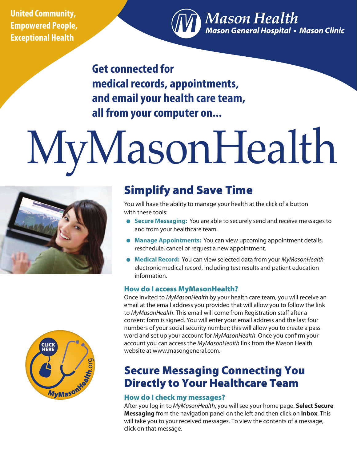**United Community, Empowered People, Exceptional Health** 

**Mason Health** Mason General Hospital • Mason Clinic

**Get connected for medical records, appointments, and email your health care team, all from your computer on...**

# MyMasonHealth



# Simplify and Save Time

You will have the ability to manage your health at the click of a button with these tools:

- **Secure Messaging:** You are able to securely send and receive messages to and from your healthcare team.
- **Manage Appointments:** You can view upcoming appointment details, reschedule, cancel or request a new appointment.
- **Medical Record:** You can view selected data from your *MyMasonHealth* electronic medical record, including test results and patient education information.

## How do I access MyMasonHealth?

Once invited to *MyMasonHealth* by your health care team, you will receive an email at the email address you provided that will allow you to follow the link to *MyMasonHealth*. This email will come from Registration staff after a consent form is signed. You will enter your email address and the last four numbers of your social security number; this will allow you to create a password and set up your account for *MyMasonHealth*. Once you confirm your account you can access the *MyMasonHealth* link from the Mason Health website at www.masongeneral.com.

# Secure Messaging Connecting You Directly to Your Healthcare Team

### How do I check my messages?

After you log in to *MyMasonHealth*, you will see your home page. **Select Secure Messaging** from the navigation panel on the left and then click on **Inbox**. This will take you to your received messages. To view the contents of a message, click on that message.